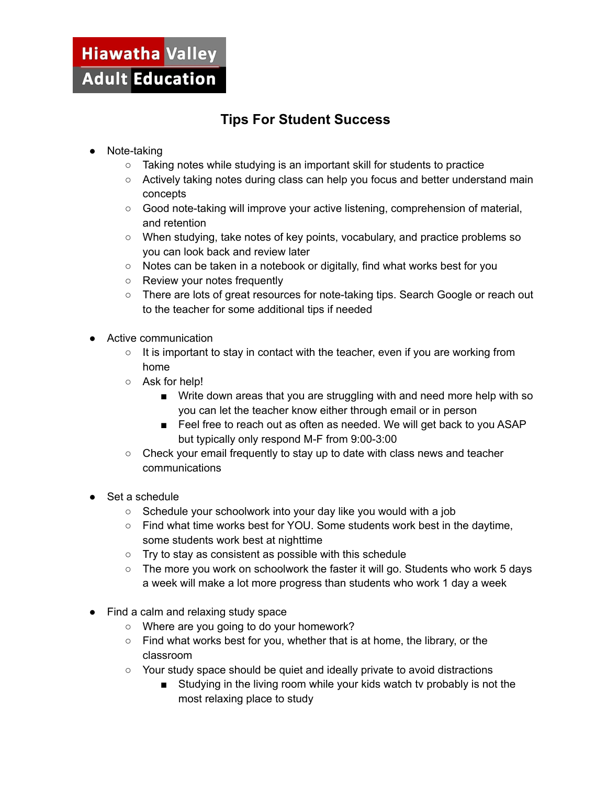## Hiawatha Valley **Adult Education**

## **Tips For Student Success**

- Note-taking
	- Taking notes while studying is an important skill for students to practice
	- Actively taking notes during class can help you focus and better understand main concepts
	- Good note-taking will improve your active listening, comprehension of material, and retention
	- When studying, take notes of key points, vocabulary, and practice problems so you can look back and review later
	- Notes can be taken in a notebook or digitally, find what works best for you
	- Review your notes frequently
	- There are lots of great resources for note-taking tips. Search Google or reach out to the teacher for some additional tips if needed
- Active communication
	- It is important to stay in contact with the teacher, even if you are working from home
	- Ask for help!
		- Write down areas that you are struggling with and need more help with so you can let the teacher know either through email or in person
		- Feel free to reach out as often as needed. We will get back to you ASAP but typically only respond M-F from 9:00-3:00
	- Check your email frequently to stay up to date with class news and teacher communications
- Set a schedule
	- Schedule your schoolwork into your day like you would with a job
	- Find what time works best for YOU. Some students work best in the daytime, some students work best at nighttime
	- Try to stay as consistent as possible with this schedule
	- The more you work on schoolwork the faster it will go. Students who work 5 days a week will make a lot more progress than students who work 1 day a week
- Find a calm and relaxing study space
	- Where are you going to do your homework?
	- Find what works best for you, whether that is at home, the library, or the classroom
	- Your study space should be quiet and ideally private to avoid distractions
		- Studying in the living room while your kids watch ty probably is not the most relaxing place to study